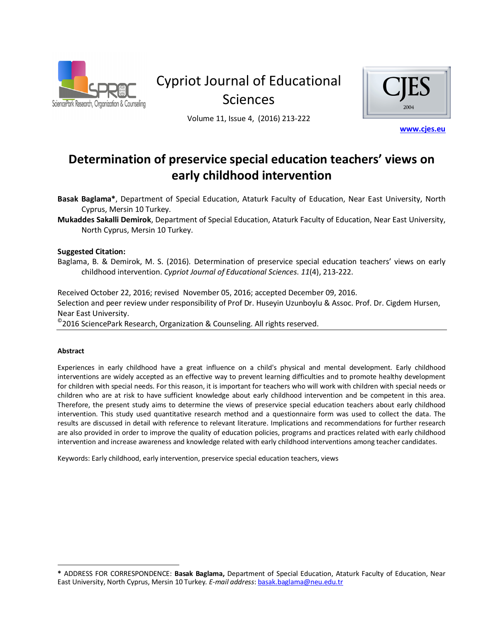

Cypriot Journal of Educational **Sciences** 



Volume 11, Issue 4, (2016) 213-222

www.cjes.eu

# Determination of preservice special education teachers' views on **early childhood intervention**

Basak Baglama\*, Department of Special Education, Ataturk Faculty of Education, Near East University, North Cyprus, Mersin 10 Turkey.

**Mukaddes Sakalli Demirok**, Department of Special Education, Ataturk Faculty of Education, Near East University, North Cyprus, Mersin 10 Turkey.

## **Suggested Citation:**

Baglama, B. & Demirok, M. S. (2016). Determination of preservice special education teachers' views on early  $\chi$ childhood intervention. *Cypriot Journal of Educational Sciences.* 11(4), 213-222.

Received October 22, 2016; revised November 05, 2016; accepted December 09, 2016. Selection and peer review under responsibility of Prof Dr. Husevin Uzunboylu & Assoc. Prof. Dr. Cigdem Hursen. Near East University.

 $^\circ$ 2016 SciencePark Research, Organization & Counseling. All rights reserved.

### Abstract

l

Experiences in early childhood have a great influence on a child's physical and mental development. Early childhood interventions are widely accepted as an effective way to prevent learning difficulties and to promote healthy development for children with special needs. For this reason, it is important for teachers who will work with children with special needs or children who are at risk to have sufficient knowledge about early childhood intervention and be competent in this area. Therefore, the present study aims to determine the views of preservice special education teachers about early childhood intervention. This study used quantitative research method and a questionnaire form was used to collect the data. The results are discussed in detail with reference to relevant literature. Implications and recommendations for further research are also provided in order to improve the quality of education policies, programs and practices related with early childhood intervention and increase awareness and knowledge related with early childhood interventions among teacher candidates.

Keywords: Early childhood, early intervention, preservice special education teachers, views

<span id="page-0-0"></span><sup>\*</sup> ADDRESS FOR CORRESPONDENCE: Basak Baglama, Department of Special Education, Ataturk Faculty of Education, Near East University, North Cyprus, Mersin 10 Turkey. E-mail address: basak.baglama@neu.edu.tr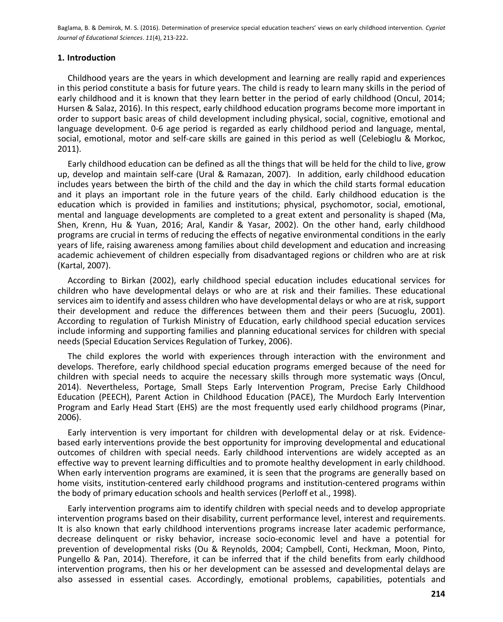# 1. Introduction

Childhood years are the years in which development and learning are really rapid and experiences in this period constitute a basis for future years. The child is ready to learn many skills in the period of early childhood and it is known that they learn better in the period of early childhood (Oncul, 2014; Hursen & Salaz, 2016). In this respect, early childhood education programs become more important in order to support basic areas of child development including physical, social, cognitive, emotional and language development. 0-6 age period is regarded as early childhood period and language, mental, social, emotional, motor and self-care skills are gained in this period as well (Celebioglu & Morkoc,  $2011$ ).

Early childhood education can be defined as all the things that will be held for the child to live, grow up, develop and maintain self-care (Ural & Ramazan, 2007). In addition, early childhood education includes years between the birth of the child and the day in which the child starts formal education and it plays an important role in the future years of the child. Early childhood education is the education which is provided in families and institutions; physical, psychomotor, social, emotional, mental and language developments are completed to a great extent and personality is shaped (Ma, Shen, Krenn, Hu & Yuan, 2016; Aral, Kandir & Yasar, 2002). On the other hand, early childhood programs are crucial in terms of reducing the effects of negative environmental conditions in the early years of life, raising awareness among families about child development and education and increasing academic achievement of children especially from disadvantaged regions or children who are at risk (Kartal, 2007).

According to Birkan (2002), early childhood special education includes educational services for children who have developmental delays or who are at risk and their families. These educational services aim to identify and assess children who have developmental delays or who are at risk, support their development and reduce the differences between them and their peers (Sucuoglu, 2001). According to regulation of Turkish Ministry of Education, early childhood special education services include informing and supporting families and planning educational services for children with special needs (Special Education Services Regulation of Turkey, 2006).

The child explores the world with experiences through interaction with the environment and develops. Therefore, early childhood special education programs emerged because of the need for children with special needs to acquire the necessary skills through more systematic ways (Oncul, 2014). Nevertheless, Portage, Small Steps Early Intervention Program, Precise Early Childhood Education (PEECH), Parent Action in Childhood Education (PACE), The Murdoch Early Intervention Program and Early Head Start (EHS) are the most frequently used early childhood programs (Pinar, 2006).

Early intervention is very important for children with developmental delay or at risk. Evidencebased early interventions provide the best opportunity for improving developmental and educational outcomes of children with special needs. Early childhood interventions are widely accepted as an effective way to prevent learning difficulties and to promote healthy development in early childhood. When early intervention programs are examined, it is seen that the programs are generally based on home visits, institution-centered early childhood programs and institution-centered programs within the body of primary education schools and health services (Perloff et al., 1998).

Early intervention programs aim to identify children with special needs and to develop appropriate intervention programs based on their disability, current performance level, interest and requirements. It is also known that early childhood interventions programs increase later academic performance, decrease delinquent or risky behavior, increase socio-economic level and have a potential for prevention of developmental risks (Ou & Reynolds, 2004; Campbell, Conti, Heckman, Moon, Pinto, Pungello & Pan, 2014). Therefore, it can be inferred that if the child benefits from early childhood intervention programs, then his or her development can be assessed and developmental delays are also assessed in essential cases. Accordingly, emotional problems, capabilities, potentials and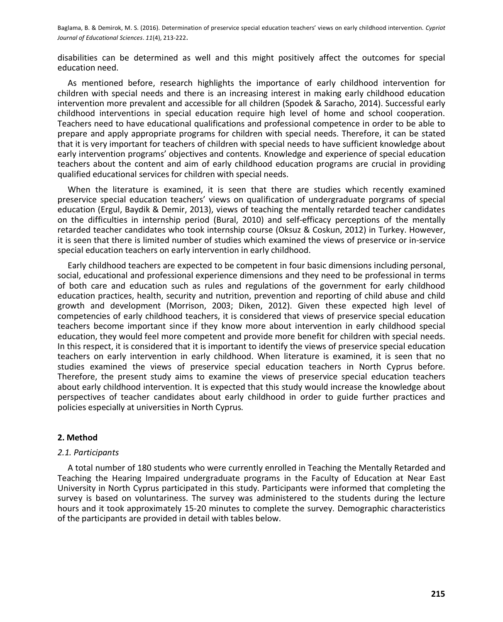disabilities can be determined as well and this might positively affect the outcomes for special education need.

As mentioned before, research highlights the importance of early childhood intervention for children with special needs and there is an increasing interest in making early childhood education intervention more prevalent and accessible for all children (Spodek & Saracho, 2014). Successful early childhood interventions in special education require high level of home and school cooperation. Teachers need to have educational qualifications and professional competence in order to be able to prepare and apply appropriate programs for children with special needs. Therefore, it can be stated that it is very important for teachers of children with special needs to have sufficient knowledge about early intervention programs' objectives and contents. Knowledge and experience of special education teachers about the content and aim of early childhood education programs are crucial in providing qualified educational services for children with special needs.

When the literature is examined, it is seen that there are studies which recently examined preservice special education teachers' views on qualification of undergraduate porgrams of special education (Ergul, Baydik & Demir, 2013), views of teaching the mentally retarded teacher candidates on the difficulties in internship period (Bural, 2010) and self-efficacy perceptions of the mentally retarded teacher candidates who took internship course (Oksuz & Coskun, 2012) in Turkey. However, it is seen that there is limited number of studies which examined the views of preservice or in-service special education teachers on early intervention in early childhood.

Early childhood teachers are expected to be competent in four basic dimensions including personal, social, educational and professional experience dimensions and they need to be professional in terms of both care and education such as rules and regulations of the government for early childhood education practices, health, security and nutrition, prevention and reporting of child abuse and child growth and development (Morrison, 2003; Diken, 2012). Given these expected high level of competencies of early childhood teachers, it is considered that views of preservice special education teachers become important since if they know more about intervention in early childhood special education, they would feel more competent and provide more benefit for children with special needs. In this respect, it is considered that it is important to identify the views of preservice special education teachers on early intervention in early childhood. When literature is examined, it is seen that no studies examined the views of preservice special education teachers in North Cyprus before. Therefore, the present study aims to examine the views of preservice special education teachers about early childhood intervention. It is expected that this study would increase the knowledge about perspectives of teacher candidates about early childhood in order to guide further practices and policies especially at universities in North Cyprus.

# 2. Method

# 2.1. Participants

A total number of 180 students who were currently enrolled in Teaching the Mentally Retarded and Teaching the Hearing Impaired undergraduate programs in the Faculty of Education at Near East University in North Cyprus participated in this study. Participants were informed that completing the survey is based on voluntariness. The survey was administered to the students during the lecture hours and it took approximately 15-20 minutes to complete the survey. Demographic characteristics of the participants are provided in detail with tables below.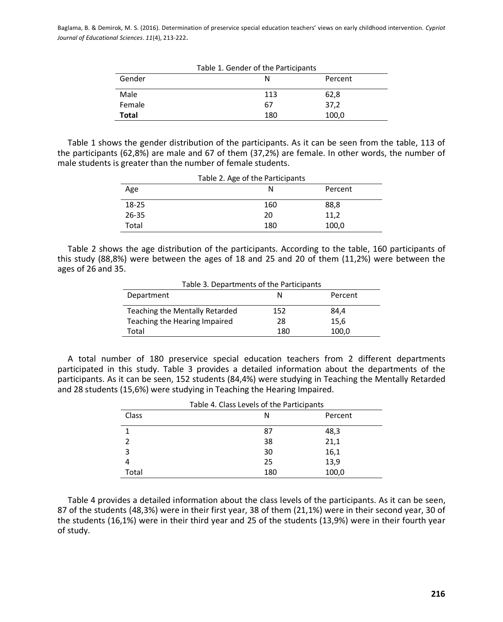| Table 1. Gender of the Participants |     |         |  |
|-------------------------------------|-----|---------|--|
| Gender                              | N   | Percent |  |
| Male                                | 113 | 62,8    |  |
| Female                              | 67  | 37,2    |  |
| <b>Total</b>                        | 180 | 100,0   |  |

Table 1 shows the gender distribution of the participants. As it can be seen from the table, 113 of the participants (62,8%) are male and 67 of them (37,2%) are female. In other words, the number of male students is greater than the number of female students.

| Table 2. Age of the Participants |     |         |  |
|----------------------------------|-----|---------|--|
| Age                              | N   | Percent |  |
| $18 - 25$                        | 160 | 88,8    |  |
| $26 - 35$                        | 20  | 11,2    |  |
| Total                            | 180 | 100,0   |  |

Table 2 shows the age distribution of the participants. According to the table, 160 participants of this study (88,8%) were between the ages of 18 and 25 and 20 of them (11,2%) were between the ages of 26 and 35.

| Table 3. Departments of the Participants |              |       |  |  |
|------------------------------------------|--------------|-------|--|--|
| Department                               | Percent<br>N |       |  |  |
| Teaching the Mentally Retarded           | 152          | 84,4  |  |  |
| Teaching the Hearing Impaired            | 28           | 15,6  |  |  |
| Total                                    | 180          | 100,0 |  |  |

A total number of 180 preservice special education teachers from 2 different departments participated in this study. Table 3 provides a detailed information about the departments of the participants. As it can be seen, 152 students (84,4%) were studying in Teaching the Mentally Retarded and 28 students (15,6%) were studying in Teaching the Hearing Impaired.

| Table 4. Class Levels of the Participants |     |         |  |
|-------------------------------------------|-----|---------|--|
| Class                                     | N   | Percent |  |
|                                           | 87  | 48,3    |  |
|                                           | 38  | 21,1    |  |
|                                           | 30  | 16,1    |  |
|                                           | 25  | 13,9    |  |
| Total                                     | 180 | 100,0   |  |

Table 4 provides a detailed information about the class levels of the participants. As it can be seen, 87 of the students (48,3%) were in their first year, 38 of them (21,1%) were in their second year, 30 of the students (16,1%) were in their third year and 25 of the students (13,9%) were in their fourth year of study.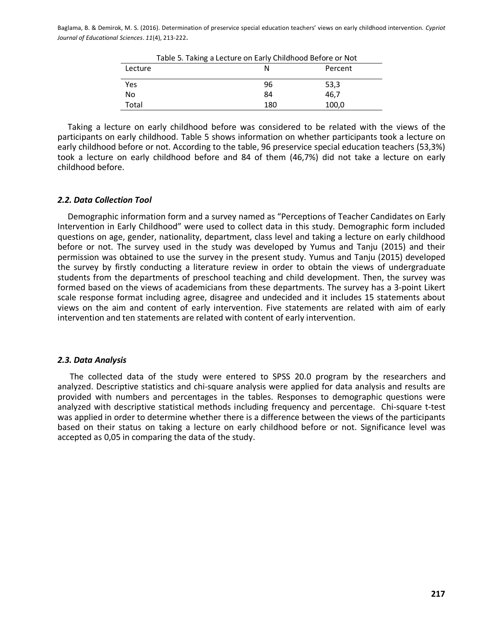| Table 5. Taking a Lecture on Early Childhood Before or Not |     |         |  |
|------------------------------------------------------------|-----|---------|--|
| Lecture                                                    | N   | Percent |  |
| Yes                                                        | 96  | 53,3    |  |
| No                                                         | 84  | 46.7    |  |
| Total                                                      | 180 | 100,0   |  |

Taking a lecture on early childhood before was considered to be related with the views of the participants on early childhood. Table 5 shows information on whether participants took a lecture on early childhood before or not. According to the table, 96 preservice special education teachers (53,3%) took a lecture on early childhood before and 84 of them (46,7%) did not take a lecture on early childhood before.

## **2.2. Data Collection Tool**

Demographic information form and a survey named as "Perceptions of Teacher Candidates on Early Intervention in Early Childhood" were used to collect data in this study. Demographic form included questions on age, gender, nationality, department, class level and taking a lecture on early childhood before or not. The survey used in the study was developed by Yumus and Tanju (2015) and their permission was obtained to use the survey in the present study. Yumus and Tanju (2015) developed the survey by firstly conducting a literature review in order to obtain the views of undergraduate students from the departments of preschool teaching and child development. Then, the survey was formed based on the views of academicians from these departments. The survey has a 3-point Likert scale response format including agree, disagree and undecided and it includes 15 statements about views on the aim and content of early intervention. Five statements are related with aim of early intervention and ten statements are related with content of early intervention.

### 2.3. Data Analysis

The collected data of the study were entered to SPSS 20.0 program by the researchers and analyzed. Descriptive statistics and chi-square analysis were applied for data analysis and results are provided with numbers and percentages in the tables. Responses to demographic questions were analyzed with descriptive statistical methods including frequency and percentage. Chi-square t-test was applied in order to determine whether there is a difference between the views of the participants based on their status on taking a lecture on early childhood before or not. Significance level was accepted as 0.05 in comparing the data of the study.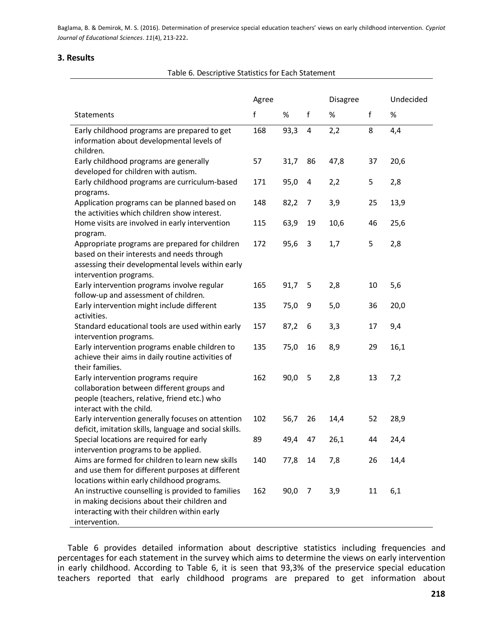# 3. Results

intervention.

| Table 6. Descriptive Statistics for Each Statement                                                                                                                          |     |       |                |      |                 |      |
|-----------------------------------------------------------------------------------------------------------------------------------------------------------------------------|-----|-------|----------------|------|-----------------|------|
|                                                                                                                                                                             |     | Agree |                |      | <b>Disagree</b> |      |
| Statements                                                                                                                                                                  | f   | %     | f              | %    | f               | %    |
| Early childhood programs are prepared to get<br>information about developmental levels of<br>children.                                                                      | 168 | 93,3  | $\overline{4}$ | 2,2  | 8               | 4,4  |
| Early childhood programs are generally<br>developed for children with autism.                                                                                               | 57  | 31,7  | 86             | 47,8 | 37              | 20,6 |
| Early childhood programs are curriculum-based<br>programs.                                                                                                                  | 171 | 95,0  | 4              | 2,2  | 5               | 2,8  |
| Application programs can be planned based on<br>the activities which children show interest.                                                                                | 148 | 82,2  | 7              | 3,9  | 25              | 13,9 |
| Home visits are involved in early intervention<br>program.                                                                                                                  | 115 | 63,9  | 19             | 10,6 | 46              | 25,6 |
| Appropriate programs are prepared for children<br>based on their interests and needs through<br>assessing their developmental levels within early<br>intervention programs. | 172 | 95,6  | 3              | 1,7  | 5               | 2,8  |
| Early intervention programs involve regular<br>follow-up and assessment of children.                                                                                        | 165 | 91,7  | 5              | 2,8  | 10              | 5,6  |
| Early intervention might include different<br>activities.                                                                                                                   | 135 | 75,0  | 9              | 5,0  | 36              | 20,0 |
| Standard educational tools are used within early<br>intervention programs.                                                                                                  | 157 | 87,2  | 6              | 3,3  | 17              | 9,4  |
| Early intervention programs enable children to<br>achieve their aims in daily routine activities of<br>their families.                                                      | 135 | 75,0  | 16             | 8,9  | 29              | 16,1 |
| Early intervention programs require<br>collaboration between different groups and<br>people (teachers, relative, friend etc.) who<br>interact with the child.               | 162 | 90,0  | 5              | 2,8  | 13              | 7,2  |
| Early intervention generally focuses on attention<br>deficit, imitation skills, language and social skills.                                                                 | 102 | 56,7  | 26             | 14,4 | 52              | 28,9 |
| Special locations are required for early<br>intervention programs to be applied.                                                                                            | 89  | 49,4  | 47             | 26,1 | 44              | 24,4 |
| Aims are formed for children to learn new skills<br>and use them for different purposes at different<br>locations within early childhood programs.                          | 140 | 77,8  | 14             | 7,8  | 26              | 14,4 |
| An instructive counselling is provided to families<br>in making decisions about their children and<br>interacting with their children within early                          | 162 | 90,0  | 7              | 3,9  | 11              | 6,1  |

Table 6 provides detailed information about descriptive statistics including frequencies and percentages for each statement in the survey which aims to determine the views on early intervention in early childhood. According to Table 6, it is seen that 93,3% of the preservice special education teachers reported that early childhood programs are prepared to get information about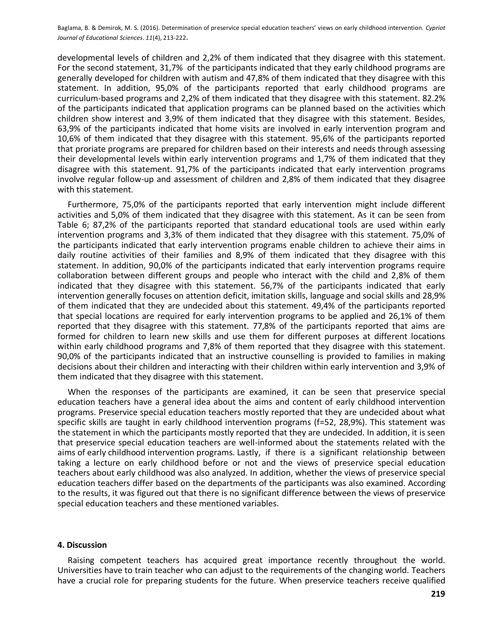developmental levels of children and 2,2% of them indicated that they disagree with this statement. For the second statement, 31,7% of the participants indicated that they early childhood programs are generally developed for children with autism and 47,8% of them indicated that they disagree with this statement. In addition, 95,0% of the participants reported that early childhood programs are curriculum-based programs and 2,2% of them indicated that they disagree with this statement. 82.2% of the participants indicated that application programs can be planned based on the activities which children show interest and 3,9% of them indicated that they disagree with this statement. Besides, 63,9% of the participants indicated that home visits are involved in early intervention program and 10,6% of them indicated that they disagree with this statement. 95,6% of the participants reported that proriate programs are prepared for children based on their interests and needs through assessing their developmental levels within early intervention programs and 1,7% of them indicated that they disagree with this statement. 91,7% of the participants indicated that early intervention programs involve regular follow-up and assessment of children and 2,8% of them indicated that they disagree with this statement.

Furthermore, 75,0% of the participants reported that early intervention might include different activities and 5,0% of them indicated that they disagree with this statement. As it can be seen from Table 6; 87,2% of the participants reported that standard educational tools are used within early intervention programs and 3,3% of them indicated that they disagree with this statement. 75,0% of the participants indicated that early intervention programs enable children to achieve their aims in daily routine activities of their families and 8,9% of them indicated that they disagree with this statement. In addition, 90,0% of the participants indicated that early intervention programs require collaboration between different groups and people who interact with the child and 2,8% of them indicated that they disagree with this statement. 56,7% of the participants indicated that early intervention generally focuses on attention deficit, imitation skills, language and social skills and 28,9% of them indicated that they are undecided about this statement. 49,4% of the participants reported that special locations are required for early intervention programs to be applied and 26,1% of them reported that they disagree with this statement. 77,8% of the participants reported that aims are formed for children to learn new skills and use them for different purposes at different locations within early childhood programs and 7,8% of them reported that they disagree with this statement. 90,0% of the participants indicated that an instructive counselling is provided to families in making decisions about their children and interacting with their children within early intervention and 3,9% of them indicated that they disagree with this statement.

When the responses of the participants are examined, it can be seen that preservice special education teachers have a general idea about the aims and content of early childhood intervention programs. Preservice special education teachers mostly reported that they are undecided about what specific skills are taught in early childhood intervention programs (f=52, 28,9%). This statement was the statement in which the participants mostly reported that they are undecided. In addition, it is seen that preservice special education teachers are well-informed about the statements related with the aims of early childhood intervention programs. Lastly, if there is a significant relationship between taking a lecture on early childhood before or not and the views of preservice special education teachers about early childhood was also analyzed. In addition, whether the views of preservice special education teachers differ based on the departments of the participants was also examined. According to the results, it was figured out that there is no significant difference between the views of preservice special education teachers and these mentioned variables.

### 4. Discussion

Raising competent teachers has acquired great importance recently throughout the world. Universities have to train teacher who can adjust to the requirements of the changing world. Teachers have a crucial role for preparing students for the future. When preservice teachers receive qualified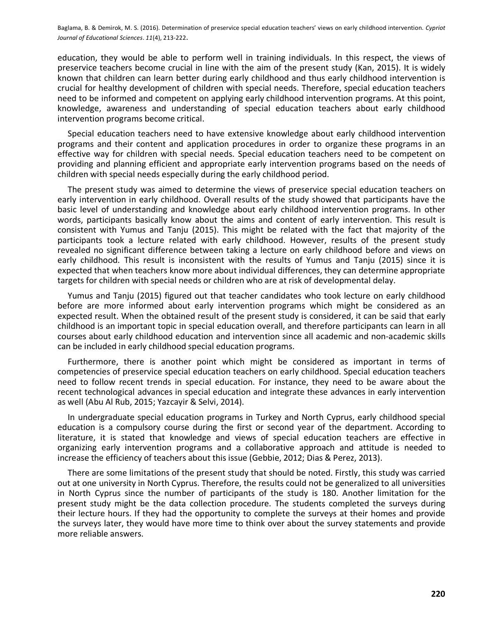education, they would be able to perform well in training individuals. In this respect, the views of preservice teachers become crucial in line with the aim of the present study (Kan, 2015). It is widely known that children can learn better during early childhood and thus early childhood intervention is crucial for healthy development of children with special needs. Therefore, special education teachers need to be informed and competent on applying early childhood intervention programs. At this point, knowledge, awareness and understanding of special education teachers about early childhood intervention programs become critical.

Special education teachers need to have extensive knowledge about early childhood intervention programs and their content and application procedures in order to organize these programs in an effective way for children with special needs. Special education teachers need to be competent on providing and planning efficient and appropriate early intervention programs based on the needs of children with special needs especially during the early childhood period.

The present study was aimed to determine the views of preservice special education teachers on early intervention in early childhood. Overall results of the study showed that participants have the basic level of understanding and knowledge about early childhood intervention programs. In other words, participants basically know about the aims and content of early intervention. This result is consistent with Yumus and Tanju (2015). This might be related with the fact that majority of the participants took a lecture related with early childhood. However, results of the present study revealed no significant difference between taking a lecture on early childhood before and views on early childhood. This result is inconsistent with the results of Yumus and Tanju (2015) since it is expected that when teachers know more about individual differences, they can determine appropriate targets for children with special needs or children who are at risk of developmental delay.

Yumus and Tanju (2015) figured out that teacher candidates who took lecture on early childhood before are more informed about early intervention programs which might be considered as an expected result. When the obtained result of the present study is considered, it can be said that early childhood is an important topic in special education overall, and therefore participants can learn in all courses about early childhood education and intervention since all academic and non-academic skills can be included in early childhood special education programs.

Furthermore, there is another point which might be considered as important in terms of competencies of preservice special education teachers on early childhood. Special education teachers need to follow recent trends in special education. For instance, they need to be aware about the recent technological advances in special education and integrate these advances in early intervention as well (Abu Al Rub, 2015; Yazcayir & Selvi, 2014).

In undergraduate special education programs in Turkey and North Cyprus, early childhood special education is a compulsory course during the first or second year of the department. According to literature, it is stated that knowledge and views of special education teachers are effective in organizing early intervention programs and a collaborative approach and attitude is needed to increase the efficiency of teachers about this issue (Gebbie, 2012; Dias & Perez, 2013).

There are some limitations of the present study that should be noted. Firstly, this study was carried out at one university in North Cyprus. Therefore, the results could not be generalized to all universities in North Cyprus since the number of participants of the study is 180. Another limitation for the present study might be the data collection procedure. The students completed the surveys during their lecture hours. If they had the opportunity to complete the surveys at their homes and provide the surveys later, they would have more time to think over about the survey statements and provide more reliable answers.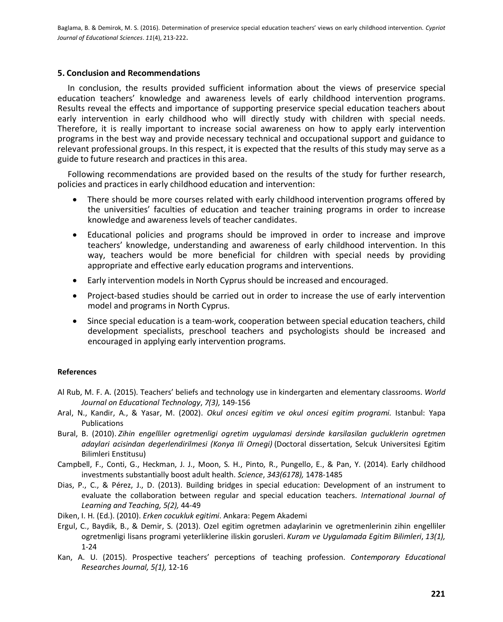# 5. Conclusion and Recommendations

In conclusion, the results provided sufficient information about the views of preservice special education teachers' knowledge and awareness levels of early childhood intervention programs. Results reveal the effects and importance of supporting preservice special education teachers about early intervention in early childhood who will directly study with children with special needs. Therefore, it is really important to increase social awareness on how to apply early intervention programs in the best way and provide necessary technical and occupational support and guidance to relevant professional groups. In this respect, it is expected that the results of this study may serve as a guide to future research and practices in this area.

Following recommendations are provided based on the results of the study for further research, policies and practices in early childhood education and intervention:

- There should be more courses related with early childhood intervention programs offered by  $\bullet$ the universities' faculties of education and teacher training programs in order to increase knowledge and awareness levels of teacher candidates.
- Educational policies and programs should be improved in order to increase and improve teachers' knowledge, understanding and awareness of early childhood intervention. In this way, teachers would be more beneficial for children with special needs by providing appropriate and effective early education programs and interventions.
- Early intervention models in North Cyprus should be increased and encouraged.
- Project-based studies should be carried out in order to increase the use of early intervention model and programs in North Cyprus.
- Since special education is a team-work, cooperation between special education teachers, child development specialists, preschool teachers and psychologists should be increased and encouraged in applying early intervention programs.

# **References**

- Al Rub, M. F. A. (2015). Teachers' beliefs and technology use in kindergarten and elementary classrooms. World Journal on Educational Technology, 7(3), 149-156
- Aral, N., Kandir, A., & Yasar, M. (2002). Okul oncesi egitim ve okul oncesi egitim programi. Istanbul: Yapa Publications
- Bural, B. (2010). Zihin engelliler ogretmenligi ogretim uygulamasi dersinde karsilasilan gucluklerin ogretmen adaylari acisindan degerlendirilmesi (Konya Ili Ornegi) (Doctoral dissertation, Selcuk Universitesi Egitim Bilimleri Enstitusu)
- Campbell, F., Conti, G., Heckman, J. J., Moon, S. H., Pinto, R., Pungello, E., & Pan, Y. (2014). Early childhood investments substantially boost adult health. Science, 343(6178), 1478-1485
- Dias, P., C., & Pérez, J., D. (2013). Building bridges in special education: Development of an instrument to evaluate the collaboration between regular and special education teachers. International Journal of Learning and Teaching, 5(2), 44-49
- Diken, I. H. (Ed.). (2010). Erken cocukluk egitimi. Ankara: Pegem Akademi
- Ergul, C., Baydik, B., & Demir, S. (2013). Ozel egitim ogretmen adaylarinin ve ogretmenlerinin zihin engelliler ogretmenligi lisans programi veterliklerine iliskin gorusleri. Kuram ve Uygulamada Egitim Bilimleri, 13(1),  $1 - 24$
- Kan, A. U. (2015). Prospective teachers' perceptions of teaching profession. Contemporary Educational Researches Journal, 5(1), 12-16